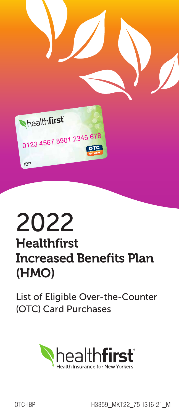

## 2022  $\blacksquare$

### Healthfirst **Increased Benefits Plan** (HMO) 2.125<br>Healthfirst Please Note:

List of Eligible Over-the-Counter **COTC)** Card Purchases



OTC-IBP H3359\_MKT22\_75 1316-21\_M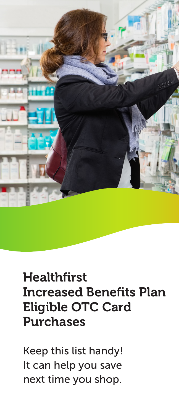

## **Healthfirst** Increased Benefits Plan Eligible OTC Card Purchases

Keep this list handy! It can help you save next time you shop.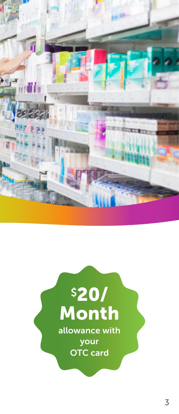

# \$20/ Month allowance with your OTC card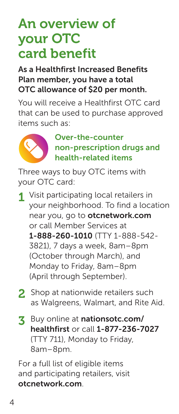## An overview of your OTC card benefit

#### As a Healthfirst Increased Benefits Plan member, you have a total OTC allowance of \$20 per month.

You will receive a Healthfirst OTC card that can be used to purchase approved items such as:



 Over-the-counter non-prescription drugs and health-related items

Three ways to buy OTC items with your OTC card:

- 1 Visit participating local retailers in your neighborhood. To find a location near you, go to otcnetwork.com or call Member Services at 1-888-260-1010 (TTY 1-888-542- 3821), 7 days a week, 8am–8pm (October through March), and Monday to Friday, 8am–8pm (April through September).
- 2 Shop at nationwide retailers such as Walgreens, Walmart, and Rite Aid.
- 3 Buy online at nationsotc.com/ healthfirst or call 1-877-236-7027 (TTY 711), Monday to Friday, 8am–8pm.

For a full list of eligible items and participating retailers, visit otcnetwork.com.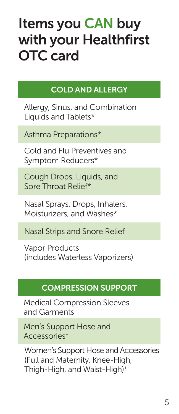## Items you CAN buy with your Healthfirst OTC card

## COLD AND ALLERGY

Allergy, Sinus, and Combination Liquids and Tablets\*

Asthma Preparations\*

Cold and Flu Preventives and Symptom Reducers\*

Cough Drops, Liquids, and Sore Throat Relief\*

Nasal Sprays, Drops, Inhalers, Moisturizers, and Washes\*

Nasal Strips and Snore Relief

Vapor Products (includes Waterless Vaporizers)

#### COMPRESSION SUPPORT

Medical Compression Sleeves and Garments

Men's Support Hose and Accessories+

Women's Support Hose and Accessories (Full and Maternity, Knee-High, Thigh-High, and Waist-High)+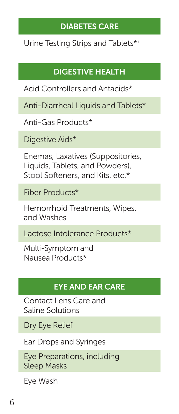#### DIABETES CARE

Urine Testing Strips and Tablets\*+

## DIGESTIVE HEALTH

Acid Controllers and Antacids\*

Anti-Diarrheal Liquids and Tablets\*

Anti-Gas Products\*

Digestive Aids\*

Enemas, Laxatives (Suppositories, Liquids, Tablets, and Powders), Stool Softeners, and Kits, etc.\*

Fiber Products\*

Hemorrhoid Treatments, Wipes, and Washes

Lactose Intolerance Products\*

Multi-Symptom and Nausea Products\*

## EYE AND EAR CARE

Contact Lens Care and Saline Solutions

Dry Eye Relief

Ear Drops and Syringes

Eye Preparations, including Sleep Masks

Eye Wash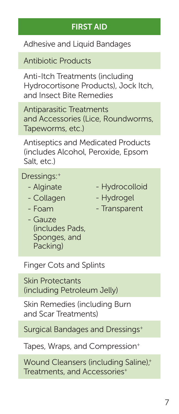#### FIRST AID

Adhesive and Liquid Bandages

Antibiotic Products

Anti-Itch Treatments (including Hydrocortisone Products), Jock Itch, and Insect Bite Remedies

Antiparasitic Treatments and Accessories (Lice, Roundworms, Tapeworms, etc.)

Antiseptics and Medicated Products (includes Alcohol, Peroxide, Epsom Salt, etc.)

Dressings:+

- Alginate
- Collagen
- Foam
- Hydrocolloid
- Hydrogel
- Transparent
- Gauze (includes Pads, Sponges, and Packing)

Finger Cots and Splints

Skin Protectants (including Petroleum Jelly)

Skin Remedies (including Burn and Scar Treatments)

Surgical Bandages and Dressings+

Tapes, Wraps, and Compression<sup>+</sup>

Wound Cleansers (including Saline);<sup>+</sup> Treatments, and Accessories+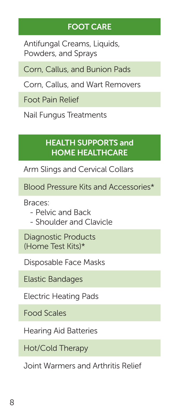#### FOOT CARE

Antifungal Creams, Liquids, Powders, and Sprays

Corn, Callus, and Bunion Pads

Corn, Callus, and Wart Removers

Foot Pain Relief

Nail Fungus Treatments

#### HEALTH SUPPORTS and HOME HEALTHCARE

Arm Slings and Cervical Collars

Blood Pressure Kits and Accessories\*

Braces:

- Pelvic and Back
- Shoulder and Clavicle

Diagnostic Products (Home Test Kits)\*

Disposable Face Masks

Elastic Bandages

Electric Heating Pads

Food Scales

Hearing Aid Batteries

Hot/Cold Therapy

Joint Warmers and Arthritis Relief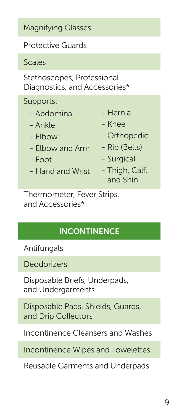Magnifying Glasses

Protective Guards

Scales

Stethoscopes, Professional Diagnostics, and Accessories\*

Supports:

- Abdominal
- Ankle
- Elbow
- Elbow and Arm
- $-$  Foot
- Hand and Wrist
- Hernia
- Knee
- Orthopedic
- Rib (Belts)
- Surgical
- Thigh, Calf, and Shin

Thermometer, Fever Strips, and Accessories\*

## **INCONTINENCE**

Antifungals

Deodorizers

Disposable Briefs, Underpads, and Undergarments

Disposable Pads, Shields, Guards, and Drip Collectors

Incontinence Cleansers and Washes

Incontinence Wipes and Towelettes

Reusable Garments and Underpads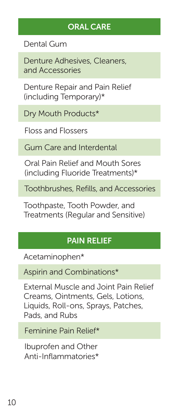### ORAL CARE

Dental Gum

Denture Adhesives, Cleaners, and Accessories

Denture Repair and Pain Relief (including Temporary)\*

Dry Mouth Products\*

Floss and Flossers

Gum Care and Interdental

Oral Pain Relief and Mouth Sores (including Fluoride Treatments)\*

Toothbrushes, Refills, and Accessories

Toothpaste, Tooth Powder, and Treatments (Regular and Sensitive)

## PAIN RELIEF

Acetaminophen\*

Aspirin and Combinations\*

External Muscle and Joint Pain Relief Creams, Ointments, Gels, Lotions, Liquids, Roll-ons, Sprays, Patches, Pads, and Rubs

Feminine Pain Relief\*

Ibuprofen and Other Anti-Inflammatories\*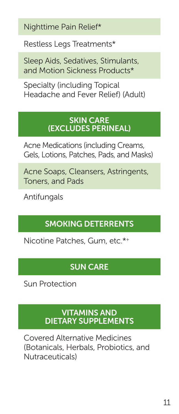Nighttime Pain Relief\*

Restless Legs Treatments\*

Sleep Aids, Sedatives, Stimulants, and Motion Sickness Products\*

Specialty (including Topical Headache and Fever Relief) (Adult)

#### **SKIN CARE** (EXCLUDES PERINEAL)

Acne Medications (including Creams, Gels, Lotions, Patches, Pads, and Masks)

Acne Soaps, Cleansers, Astringents, Toners, and Pads

Antifungals

## SMOKING DETERRENTS

Nicotine Patches, Gum, etc.\*+

## SUN CARE

Sun Protection

#### VITAMINS AND DIETARY SUPPLEMENTS

Covered Alternative Medicines (Botanicals, Herbals, Probiotics, and Nutraceuticals)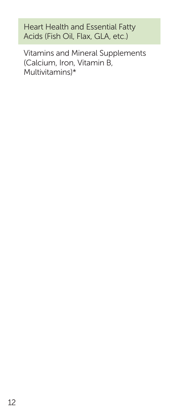Heart Health and Essential Fatty Acids (Fish Oil, Flax, GLA, etc.)

Vitamins and Mineral Supplements (Calcium, Iron, Vitamin B, Multivitamins)\*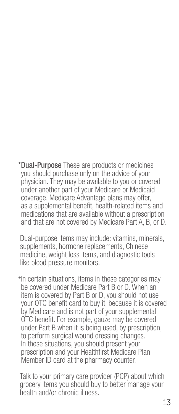\*Dual-Purpose These are products or medicines you should purchase only on the advice of your physician. They may be available to you or covered under another part of your Medicare or Medicaid coverage. Medicare Advantage plans may offer, as a supplemental benefit, health-related items and medications that are available without a prescription and that are not covered by Medicare Part A, B, or D.

Dual-purpose items may include: vitamins, minerals, supplements, hormone replacements, Chinese medicine, weight loss items, and diagnostic tools like blood pressure monitors.

+In certain situations, items in these categories may be covered under Medicare Part B or D. When an item is covered by Part B or D, you should not use your OTC benefit card to buy it, because it is covered by Medicare and is not part of your supplemental OTC benefit. For example, gauze may be covered under Part B when it is being used, by prescription, to perform surgical wound dressing changes. In these situations, you should present your prescription and your Healthfirst Medicare Plan Member ID card at the pharmacy counter.

Talk to your primary care provider (PCP) about which grocery items you should buy to better manage your health and/or chronic illness.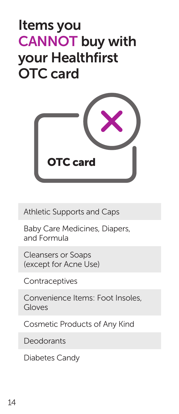## Items you CANNOT buy with your Healthfirst OTC card



Athletic Supports and Caps

Baby Care Medicines, Diapers, and Formula

Cleansers or Soaps (except for Acne Use)

**Contraceptives** 

Convenience Items: Foot Insoles, Gloves

Cosmetic Products of Any Kind

**Deodorants** 

Diabetes Candy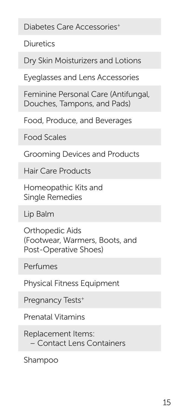Diabetes Care Accessories<sup>+</sup>

**Diuretics** 

Dry Skin Moisturizers and Lotions

Eyeglasses and Lens Accessories

Feminine Personal Care (Antifungal, Douches, Tampons, and Pads)

Food, Produce, and Beverages

Food Scales

Grooming Devices and Products

Hair Care Products

Homeopathic Kits and Single Remedies

Lip Balm

Orthopedic Aids (Footwear, Warmers, Boots, and Post-Operative Shoes)

Perfumes

Physical Fitness Equipment

Pregnancy Tests<sup>+</sup>

Prenatal Vitamins

Replacement Items: – Contact Lens Containers

Shampoo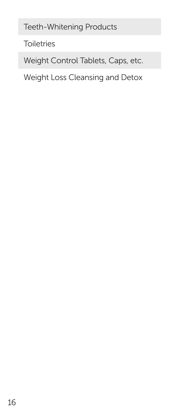Teeth-Whitening Products

**Toiletries** 

Weight Control Tablets, Caps, etc.

Weight Loss Cleansing and Detox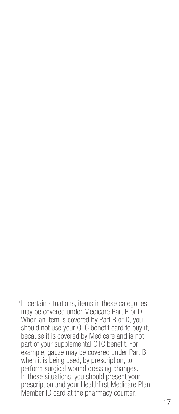+In certain situations, items in these categories may be covered under Medicare Part B or D. When an item is covered by Part B or D, you should not use your OTC benefit card to buy it, because it is covered by Medicare and is not part of your supplemental OTC benefit. For example, gauze may be covered under Part B when it is being used, by prescription, to perform surgical wound dressing changes. In these situations, you should present your prescription and your Healthfirst Medicare Plan Member ID card at the pharmacy counter.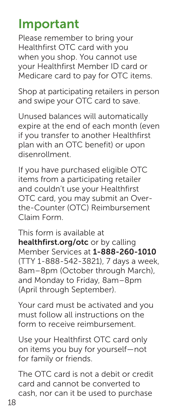## Important

Please remember to bring your Healthfirst OTC card with you when you shop. You cannot use your Healthfirst Member ID card or Medicare card to pay for OTC items.

Shop at participating retailers in person and swipe your OTC card to save.

Unused balances will automatically expire at the end of each month (even if you transfer to another Healthfirst plan with an OTC benefit) or upon disenrollment.

If you have purchased eligible OTC items from a participating retailer and couldn't use your Healthfirst OTC card, you may submit an Overthe-Counter (OTC) Reimbursement Claim Form.

This form is available at healthfirst.org/otc or by calling Member Services at 1-888-260-1010 (TTY 1-888-542-3821), 7 days a week, 8am–8pm (October through March), and Monday to Friday, 8am–8pm (April through September).

Your card must be activated and you must follow all instructions on the form to receive reimbursement.

Use your Healthfirst OTC card only on items you buy for yourself—not for family or friends.

The OTC card is not a debit or credit card and cannot be converted to cash, nor can it be used to purchase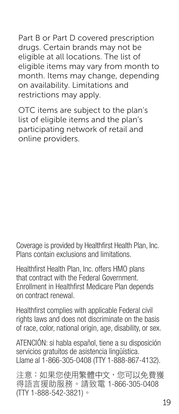Part B or Part D covered prescription drugs. Certain brands may not be eligible at all locations. The list of eligible items may vary from month to month. Items may change, depending on availability. Limitations and

OTC items are subject to the plan's list of eligible items and the plan's participating network of retail and online providers.

restrictions may apply.

Coverage is provided by Healthfirst Health Plan, Inc. Plans contain exclusions and limitations.

Healthfirst Health Plan, Inc. offers HMO plans that contract with the Federal Government. Enrollment in Healthfirst Medicare Plan depends on contract renewal.

Healthfirst complies with applicable Federal civil rights laws and does not discriminate on the basis of race, color, national origin, age, disability, or sex.

ATENCIÓN: si habla español, tiene a su disposición servicios gratuitos de asistencia lingüística. Llame al 1-866-305-0408 (TTY 1-888-867-4132).

注意:如果您使用繁體中文,您可以免費獲 得語言援助服務。請致電 1-866-305-0408 (TTY 1-888-542-3821)。